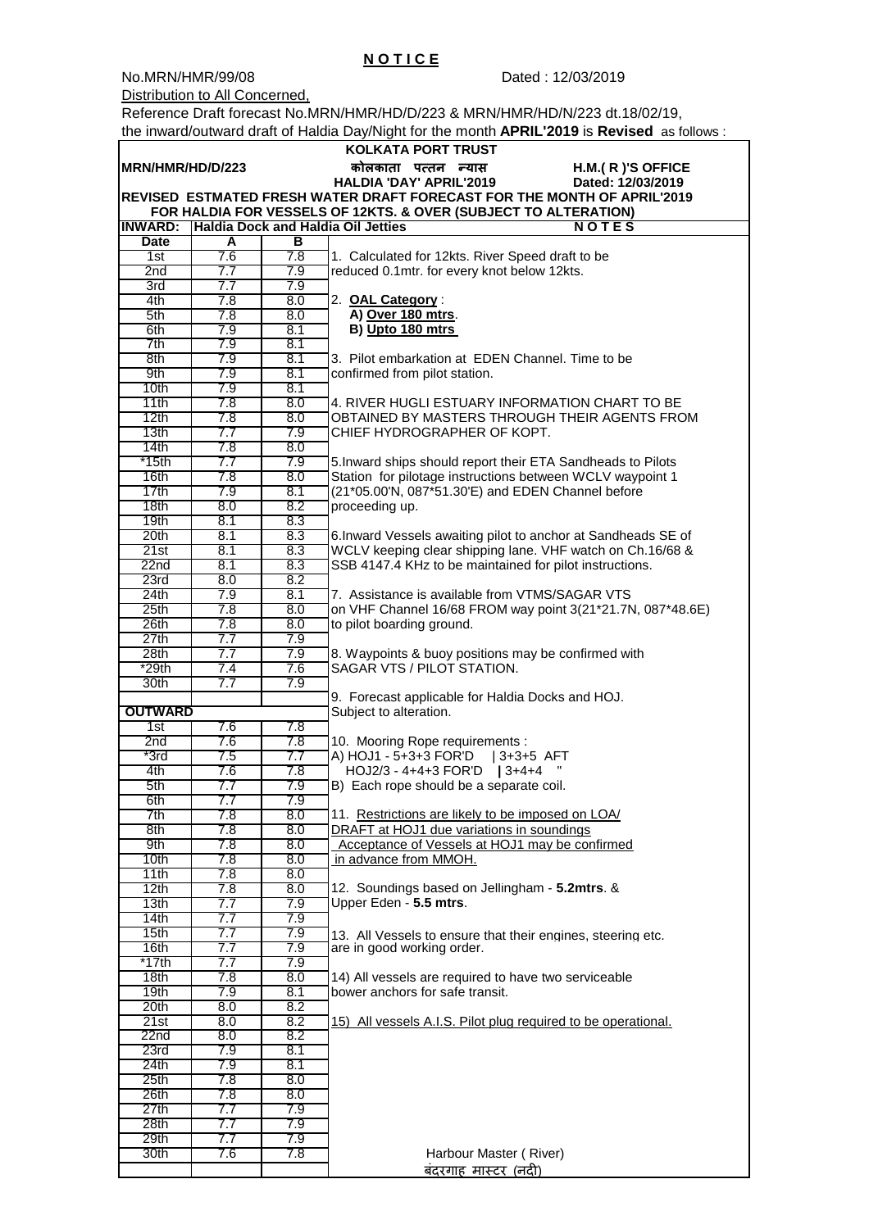No.MRN/HMR/99/08 Dated : 12/03/2019

Distribution to All Concerned,

Reference Draft forecast No.MRN/HMR/HD/D/223 & MRN/HMR/HD/N/223 dt.18/02/19, the inward/outward draft of Haldia Day/Night for the month **APRIL'2019** is **Revised** as follows :

 **N O T I C E**

| <b>KOLKATA PORT TRUST</b>                                               |            |            |                                                                                                                |  |  |  |  |
|-------------------------------------------------------------------------|------------|------------|----------------------------------------------------------------------------------------------------------------|--|--|--|--|
| MRN/HMR/HD/D/223                                                        |            |            | कोलकाता पत्तन न्यास<br>H.M.(R)'S OFFICE                                                                        |  |  |  |  |
|                                                                         |            |            | <b>HALDIA 'DAY' APRIL'2019</b><br>Dated: 12/03/2019                                                            |  |  |  |  |
| REVISED ESTMATED FRESH WATER DRAFT FORECAST FOR THE MONTH OF APRIL'2019 |            |            |                                                                                                                |  |  |  |  |
| FOR HALDIA FOR VESSELS OF 12KTS. & OVER (SUBJECT TO ALTERATION)         |            |            |                                                                                                                |  |  |  |  |
| <b>INWARD:</b>                                                          |            |            | Haldia Dock and Haldia Oil Jetties<br><b>NOTES</b>                                                             |  |  |  |  |
| <b>Date</b>                                                             | A          | В          |                                                                                                                |  |  |  |  |
| 1st                                                                     | 7.6        | 7.8        | 1. Calculated for 12kts. River Speed draft to be                                                               |  |  |  |  |
| 2nd<br>3rd                                                              | 7.7<br>7.7 | 7.9<br>7.9 | reduced 0.1mtr. for every knot below 12kts.                                                                    |  |  |  |  |
| 4th                                                                     | 7.8        | 8.0        | 2. OAL Category:                                                                                               |  |  |  |  |
| 5th                                                                     | 7.8        | 8.0        | A) Over 180 mtrs.                                                                                              |  |  |  |  |
| 6th                                                                     | 7.9        | 8.1        | B) Upto 180 mtrs                                                                                               |  |  |  |  |
| 7th                                                                     | 7.9        | 8.1        |                                                                                                                |  |  |  |  |
| 8th                                                                     | 7.9        | 8.1        | 3. Pilot embarkation at EDEN Channel. Time to be                                                               |  |  |  |  |
| 9th                                                                     | 7.9        | 8.1        | confirmed from pilot station.                                                                                  |  |  |  |  |
| 10 <sub>th</sub>                                                        | 7.9        | 8.1        |                                                                                                                |  |  |  |  |
| 11th                                                                    | 7.8        | 8.0        | 4. RIVER HUGLI ESTUARY INFORMATION CHART TO BE                                                                 |  |  |  |  |
| 12th                                                                    | 7.8        | 8.0        | OBTAINED BY MASTERS THROUGH THEIR AGENTS FROM                                                                  |  |  |  |  |
| 13 <sub>th</sub>                                                        | 7.7        | 7.9        | CHIEF HYDROGRAPHER OF KOPT.                                                                                    |  |  |  |  |
| 14th                                                                    | 7.8        | 8.0        |                                                                                                                |  |  |  |  |
| $*15th$                                                                 | 7.7<br>7.8 | 7.9<br>8.0 | 5. Inward ships should report their ETA Sandheads to Pilots                                                    |  |  |  |  |
| 16th<br>17th                                                            | 7.9        | 8.1        | Station for pilotage instructions between WCLV waypoint 1<br>(21*05.00'N, 087*51.30'E) and EDEN Channel before |  |  |  |  |
| 18 <sub>th</sub>                                                        | 8.0        | 8.2        | proceeding up.                                                                                                 |  |  |  |  |
| 19 <sub>th</sub>                                                        | 8.1        | 8.3        |                                                                                                                |  |  |  |  |
| 20 <sub>th</sub>                                                        | 8.1        | 8.3        | 6. Inward Vessels awaiting pilot to anchor at Sandheads SE of                                                  |  |  |  |  |
| 21st                                                                    | 8.1        | 8.3        | WCLV keeping clear shipping lane. VHF watch on Ch.16/68 &                                                      |  |  |  |  |
| 22 <sub>nd</sub>                                                        | 8.1        | 8.3        | SSB 4147.4 KHz to be maintained for pilot instructions.                                                        |  |  |  |  |
| 23rd                                                                    | 8.0        | 8.2        |                                                                                                                |  |  |  |  |
| 24th                                                                    | 7.9        | 8.1        | 7. Assistance is available from VTMS/SAGAR VTS                                                                 |  |  |  |  |
| 25 <sub>th</sub>                                                        | 7.8        | 8.0        | on VHF Channel 16/68 FROM way point 3(21*21.7N, 087*48.6E)                                                     |  |  |  |  |
| 26th                                                                    | 7.8        | 8.0        | to pilot boarding ground.                                                                                      |  |  |  |  |
| 27th                                                                    | 7.7        | 7.9        |                                                                                                                |  |  |  |  |
| 28 <sub>th</sub>                                                        | 7.7        | 7.9        | 8. Waypoints & buoy positions may be confirmed with                                                            |  |  |  |  |
| *29th                                                                   | 7.4<br>7.7 | 7.6<br>7.9 | SAGAR VTS / PILOT STATION.                                                                                     |  |  |  |  |
| 30th                                                                    |            |            | 9. Forecast applicable for Haldia Docks and HOJ.                                                               |  |  |  |  |
| <b>OUTWARD</b>                                                          |            |            | Subject to alteration.                                                                                         |  |  |  |  |
| 1st                                                                     | 7.6        | 7.8        |                                                                                                                |  |  |  |  |
| 2nd                                                                     | 7.6        | 7.8        | 10. Mooring Rope requirements :                                                                                |  |  |  |  |
| $*3rd$                                                                  | 7.5        | 7.7        | A) HOJ1 - 5+3+3 FOR'D<br>$ 3+3+5$ AFT                                                                          |  |  |  |  |
| 4th                                                                     | 7.6        | 7.8        | HOJ2/3 - 4+4+3 FOR'D<br>$13+4+4$                                                                               |  |  |  |  |
| 5th                                                                     | 7.7        | 7.9        | B) Each rope should be a separate coil.                                                                        |  |  |  |  |
| 6th                                                                     | 7.7        | 7.9        |                                                                                                                |  |  |  |  |
| 7th                                                                     | 7.8        | 8.0        | 11. Restrictions are likely to be imposed on LOA/                                                              |  |  |  |  |
| 8th                                                                     | 7.8        | 8.0        | DRAFT at HOJ1 due variations in soundings<br>Acceptance of Vessels at HOJ1 may be confirmed                    |  |  |  |  |
| 9th<br>10 <sub>th</sub>                                                 | 7.8<br>7.8 | 8.0<br>8.0 | in advance from MMOH.                                                                                          |  |  |  |  |
| 11th                                                                    | 7.8        | 8.0        |                                                                                                                |  |  |  |  |
| 12th                                                                    | 7.8        | 8.0        | 12. Soundings based on Jellingham - 5.2mtrs. &                                                                 |  |  |  |  |
| 13 <sub>th</sub>                                                        | 7.7        | 7.9        | Upper Eden - 5.5 mtrs.                                                                                         |  |  |  |  |
| 14th                                                                    | 7.7        | 7.9        |                                                                                                                |  |  |  |  |
| 15 <sub>th</sub>                                                        | 7.7        | 7.9        | 13. All Vessels to ensure that their engines, steering etc.                                                    |  |  |  |  |
| 16th                                                                    | 7.7        | 7.9        | are in good working order.                                                                                     |  |  |  |  |
| $*17th$                                                                 | 7.7        | 7.9        |                                                                                                                |  |  |  |  |
| 18 <sub>th</sub>                                                        | 7.8        | 8.0        | 14) All vessels are required to have two serviceable                                                           |  |  |  |  |
| 19 <sub>th</sub>                                                        | 7.9        | 8.1        | bower anchors for safe transit.                                                                                |  |  |  |  |
| 20th                                                                    | 8.0        | 8.2        |                                                                                                                |  |  |  |  |
| 21st<br>22n <sub>d</sub>                                                | 8.0<br>8.0 | 8.2<br>8.2 | 15) All vessels A.I.S. Pilot plug required to be operational.                                                  |  |  |  |  |
| 23rd                                                                    | 7.9        | 8.1        |                                                                                                                |  |  |  |  |
| 24th                                                                    | 7.9        | 8.1        |                                                                                                                |  |  |  |  |
| 25 <sub>th</sub>                                                        | 7.8        | 8.0        |                                                                                                                |  |  |  |  |
| 26th                                                                    | 7.8        | 8.0        |                                                                                                                |  |  |  |  |
| 27th                                                                    | 7.7        | 7.9        |                                                                                                                |  |  |  |  |
| 28 <sub>th</sub>                                                        | 7.7        | 7.9        |                                                                                                                |  |  |  |  |
| 29th                                                                    | 7.7        | 7.9        |                                                                                                                |  |  |  |  |
| 30th                                                                    | 7.6        | 7.8        | Harbour Master (River)                                                                                         |  |  |  |  |
|                                                                         |            |            | बंदरगाह मास्टर (नदी)                                                                                           |  |  |  |  |